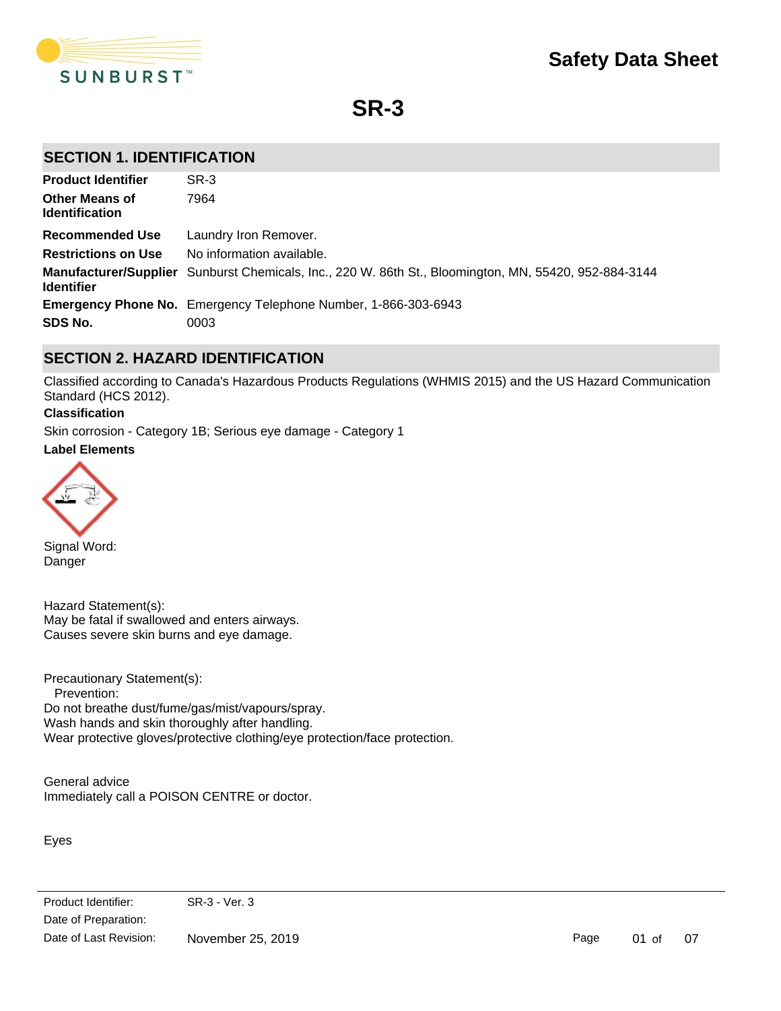

**SR-3**

# **SECTION 1. IDENTIFICATION**

| <b>Product Identifier</b>                      | SR-3                                                                                                  |
|------------------------------------------------|-------------------------------------------------------------------------------------------------------|
| <b>Other Means of</b><br><b>Identification</b> | 7964                                                                                                  |
| <b>Recommended Use</b>                         | Laundry Iron Remover.                                                                                 |
| <b>Restrictions on Use</b>                     | No information available.                                                                             |
| <b>Identifier</b>                              | Manufacturer/Supplier Sunburst Chemicals, Inc., 220 W. 86th St., Bloomington, MN, 55420, 952-884-3144 |
|                                                | <b>Emergency Phone No.</b> Emergency Telephone Number, 1-866-303-6943                                 |
| SDS No.                                        | 0003                                                                                                  |

# **SECTION 2. HAZARD IDENTIFICATION**

Classified according to Canada's Hazardous Products Regulations (WHMIS 2015) and the US Hazard Communication Standard (HCS 2012).

### **Classification**

Skin corrosion - Category 1B; Serious eye damage - Category 1

### **Label Elements**



Signal Word: Danger

Hazard Statement(s): May be fatal if swallowed and enters airways. Causes severe skin burns and eye damage.

Precautionary Statement(s): Prevention: Do not breathe dust/fume/gas/mist/vapours/spray. Wash hands and skin thoroughly after handling. Wear protective gloves/protective clothing/eye protection/face protection.

General advice Immediately call a POISON CENTRE or doctor.

Eyes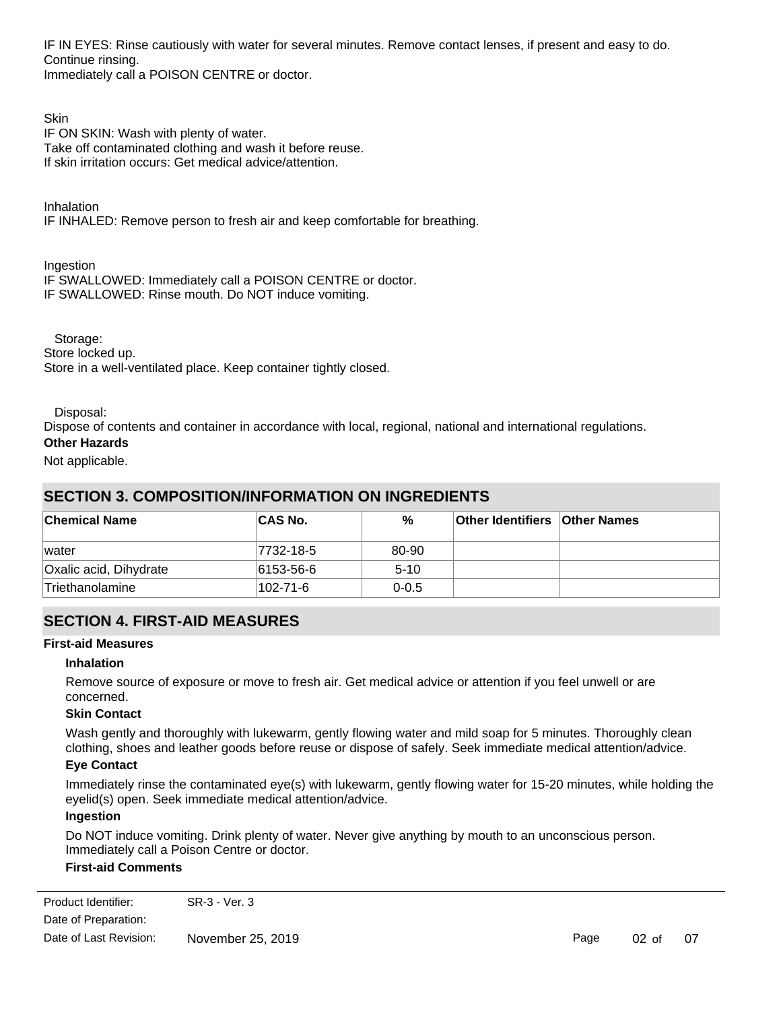IF IN EYES: Rinse cautiously with water for several minutes. Remove contact lenses, if present and easy to do. Continue rinsing. Immediately call a POISON CENTRE or doctor.

**Skin** IF ON SKIN: Wash with plenty of water. Take off contaminated clothing and wash it before reuse. If skin irritation occurs: Get medical advice/attention.

Inhalation

IF INHALED: Remove person to fresh air and keep comfortable for breathing.

Ingestion IF SWALLOWED: Immediately call a POISON CENTRE or doctor. IF SWALLOWED: Rinse mouth. Do NOT induce vomiting.

 Storage: Store locked up. Store in a well-ventilated place. Keep container tightly closed.

Disposal:

Dispose of contents and container in accordance with local, regional, national and international regulations.

### **Other Hazards**

Not applicable.

# **SECTION 3. COMPOSITION/INFORMATION ON INGREDIENTS**

Get medical advice or attention if you feel unwell or are concerned.

| <b>Chemical Name</b>   | <b>CAS No.</b> | %         | <b>Other Identifiers Other Names</b> |  |
|------------------------|----------------|-----------|--------------------------------------|--|
| <i>vater</i>           | 7732-18-5      | 80-90     |                                      |  |
| Oxalic acid, Dihydrate | 6153-56-6      | $5 - 10$  |                                      |  |
| Triethanolamine        | 102-71-6       | $0 - 0.5$ |                                      |  |

# **SECTION 4. FIRST-AID MEASURES**

### **First-aid Measures**

### **Inhalation**

Remove source of exposure or move to fresh air. Get medical advice or attention if you feel unwell or are concerned.

### **Skin Contact**

Wash gently and thoroughly with lukewarm, gently flowing water and mild soap for 5 minutes. Thoroughly clean clothing, shoes and leather goods before reuse or dispose of safely. Seek immediate medical attention/advice.

### **Eye Contact**

Immediately rinse the contaminated eye(s) with lukewarm, gently flowing water for 15-20 minutes, while holding the eyelid(s) open. Seek immediate medical attention/advice.

### **Ingestion**

Do NOT induce vomiting. Drink plenty of water. Never give anything by mouth to an unconscious person. Immediately call a Poison Centre or doctor.

### **First-aid Comments**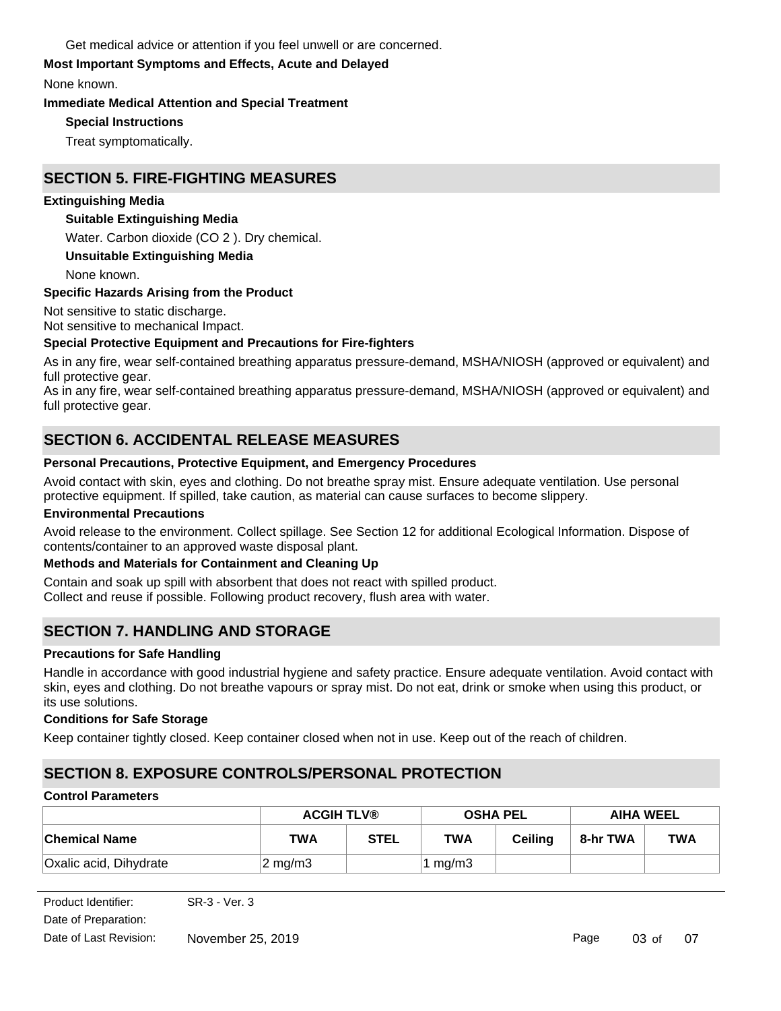Get medical advice or attention if you feel unwell or are concerned.

# **Most Important Symptoms and Effects, Acute and Delayed**

None known.

## **Immediate Medical Attention and Special Treatment**

**Special Instructions**

Treat symptomatically.

# **SECTION 5. FIRE-FIGHTING MEASURES**

## **Extinguishing Media**

# **Suitable Extinguishing Media**

Water. Carbon dioxide (CO 2 ). Dry chemical.

# **Unsuitable Extinguishing Media**

None known.

# **Specific Hazards Arising from the Product**

Not sensitive to static discharge.

# Not sensitive to mechanical Impact.

# **Special Protective Equipment and Precautions for Fire-fighters**

As in any fire, wear self-contained breathing apparatus pressure-demand, MSHA/NIOSH (approved or equivalent) and full protective gear.

As in any fire, wear self-contained breathing apparatus pressure-demand, MSHA/NIOSH (approved or equivalent) and full protective gear.

# **SECTION 6. ACCIDENTAL RELEASE MEASURES**

# **Personal Precautions, Protective Equipment, and Emergency Procedures**

Avoid contact with skin, eyes and clothing. Do not breathe spray mist. Ensure adequate ventilation. Use personal protective equipment. If spilled, take caution, as material can cause surfaces to become slippery.

# **Environmental Precautions**

Avoid release to the environment. Collect spillage. See Section 12 for additional Ecological Information. Dispose of contents/container to an approved waste disposal plant.

# **Methods and Materials for Containment and Cleaning Up**

Contain and soak up spill with absorbent that does not react with spilled product.

Collect and reuse if possible. Following product recovery, flush area with water.

# **SECTION 7. HANDLING AND STORAGE**

# **Precautions for Safe Handling**

Handle in accordance with good industrial hygiene and safety practice. Ensure adequate ventilation. Avoid contact with skin, eyes and clothing. Do not breathe vapours or spray mist. Do not eat, drink or smoke when using this product, or its use solutions.

# **Conditions for Safe Storage**

Keep container tightly closed. Keep container closed when not in use. Keep out of the reach of children.

# **SECTION 8. EXPOSURE CONTROLS/PERSONAL PROTECTION**

# **Control Parameters**

|                        | <b>ACGIH TLV®</b>  |             | <b>OSHA PEL</b>      |                | <b>AIHA WEEL</b> |            |
|------------------------|--------------------|-------------|----------------------|----------------|------------------|------------|
| ∣Chemical Name         | TWA                | <b>STEL</b> | <b>TWA</b>           | <b>Ceiling</b> | 8-hr TWA         | <b>TWA</b> |
| Oxalic acid, Dihydrate | $2 \text{ mg/m}$ 3 |             | <sup>⊦</sup> 1 mg/m3 |                |                  |            |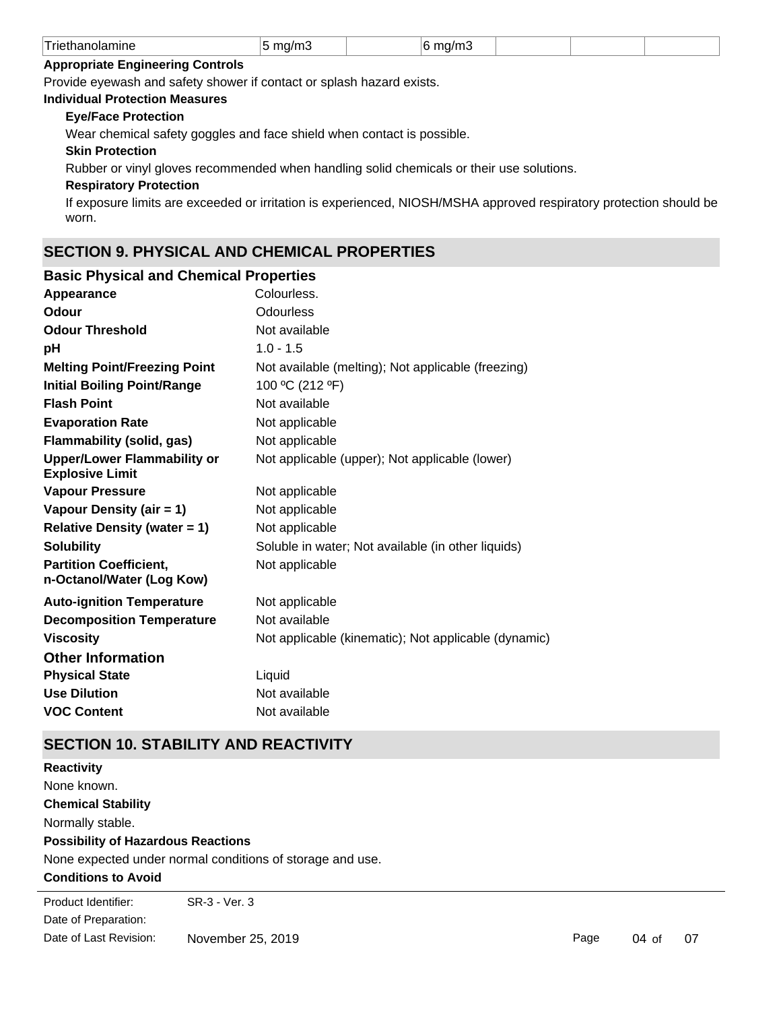| $-$<br>.<br>rıc<br>nine<br>וויחוו | . .<br>.<br><br>. . |  | ---<br>I 16 17<br>ш |  |  |  |
|-----------------------------------|---------------------|--|---------------------|--|--|--|
|-----------------------------------|---------------------|--|---------------------|--|--|--|

#### **Appropriate Engineering Controls**

Provide eyewash and safety shower if contact or splash hazard exists.

### **Individual Protection Measures**

#### **Eye/Face Protection**

Wear chemical safety goggles and face shield when contact is possible.

### **Skin Protection**

Rubber or vinyl gloves recommended when handling solid chemicals or their use solutions.

#### **Respiratory Protection**

If exposure limits are exceeded or irritation is experienced, NIOSH/MSHA approved respiratory protection should be worn.

# **SECTION 9. PHYSICAL AND CHEMICAL PROPERTIES**

### **Basic Physical and Chemical Properties**

| Appearance                                                   | Colourless.                                          |
|--------------------------------------------------------------|------------------------------------------------------|
| Odour                                                        | <b>Odourless</b>                                     |
| <b>Odour Threshold</b>                                       | Not available                                        |
| рH                                                           | $1.0 - 1.5$                                          |
| <b>Melting Point/Freezing Point</b>                          | Not available (melting); Not applicable (freezing)   |
| <b>Initial Boiling Point/Range</b>                           | 100 °C (212 °F)                                      |
| <b>Flash Point</b>                                           | Not available                                        |
| <b>Evaporation Rate</b>                                      | Not applicable                                       |
| <b>Flammability (solid, gas)</b>                             | Not applicable                                       |
| <b>Upper/Lower Flammability or</b><br><b>Explosive Limit</b> | Not applicable (upper); Not applicable (lower)       |
| <b>Vapour Pressure</b>                                       | Not applicable                                       |
| Vapour Density (air = 1)                                     | Not applicable                                       |
| <b>Relative Density (water = 1)</b>                          | Not applicable                                       |
| <b>Solubility</b>                                            | Soluble in water; Not available (in other liquids)   |
| <b>Partition Coefficient,</b><br>n-Octanol/Water (Log Kow)   | Not applicable                                       |
| <b>Auto-ignition Temperature</b>                             | Not applicable                                       |
| <b>Decomposition Temperature</b>                             | Not available                                        |
| <b>Viscosity</b>                                             | Not applicable (kinematic); Not applicable (dynamic) |
| <b>Other Information</b>                                     |                                                      |
| <b>Physical State</b>                                        | Liquid                                               |
| <b>Use Dilution</b>                                          | Not available                                        |
| <b>VOC Content</b>                                           | Not available                                        |

# **SECTION 10. STABILITY AND REACTIVITY**

| <b>Reactivity</b>                         |                                                           |
|-------------------------------------------|-----------------------------------------------------------|
| None known.                               |                                                           |
| <b>Chemical Stability</b>                 |                                                           |
| Normally stable.                          |                                                           |
| <b>Possibility of Hazardous Reactions</b> |                                                           |
|                                           | None expected under normal conditions of storage and use. |
| <b>Conditions to Avoid</b>                |                                                           |
| Product Identifier:                       | SR-3 - Ver. 3                                             |
|                                           |                                                           |

Date of Preparation: Date of Last Revision: November 25, 2019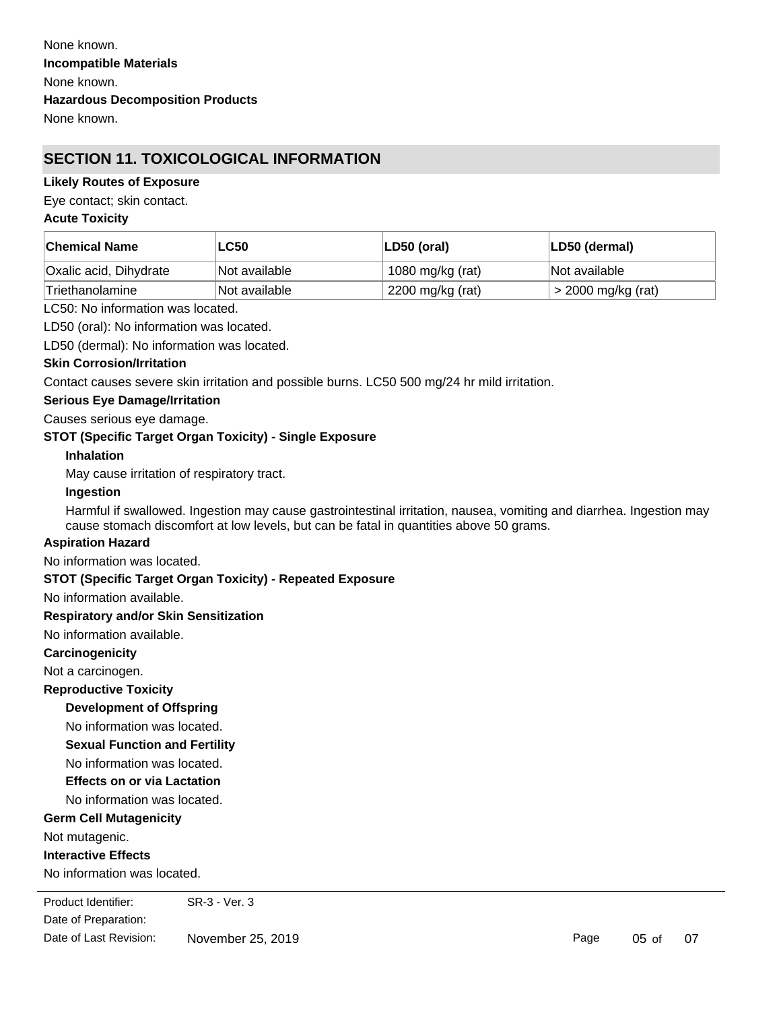# **SECTION 11. TOXICOLOGICAL INFORMATION**

#### **Likely Routes of Exposure**

Eye contact; skin contact.

#### **Acute Toxicity**

| <b>Chemical Name</b>   | <b>LC50</b>   | LD50 (oral)      | LD50 (dermal)      |
|------------------------|---------------|------------------|--------------------|
| Oxalic acid, Dihydrate | Not available | 1080 mg/kg (rat) | Not available      |
| 'Triethanolamine       | Not available | 2200 mg/kg (rat) | > 2000 mg/kg (rat) |

LC50: No information was located.

LD50 (oral): No information was located.

LD50 (dermal): No information was located.

#### **Skin Corrosion/Irritation**

Contact causes severe skin irritation and possible burns. LC50 500 mg/24 hr mild irritation.

#### **Serious Eye Damage/Irritation**

Causes serious eye damage.

#### **STOT (Specific Target Organ Toxicity) - Single Exposure**

**Inhalation**

May cause irritation of respiratory tract.

#### **Ingestion**

Harmful if swallowed. Ingestion may cause gastrointestinal irritation, nausea, vomiting and diarrhea. Ingestion may cause stomach discomfort at low levels, but can be fatal in quantities above 50 grams.

#### **Aspiration Hazard**

No information was located.

#### **STOT (Specific Target Organ Toxicity) - Repeated Exposure**

No information available.

#### **Respiratory and/or Skin Sensitization**

No information available.

#### **Carcinogenicity**

Not a carcinogen.

**Reproductive Toxicity**

### **Development of Offspring**

No information was located.

**Sexual Function and Fertility**

No information was located.

#### **Effects on or via Lactation**

No information was located.

#### **Germ Cell Mutagenicity**

Not mutagenic.

#### **Interactive Effects**

No information was located.

Date of Preparation: Product Identifier: SR-3 - Ver. 3 Date of Last Revision: November 25, 2019

Page 05 of 07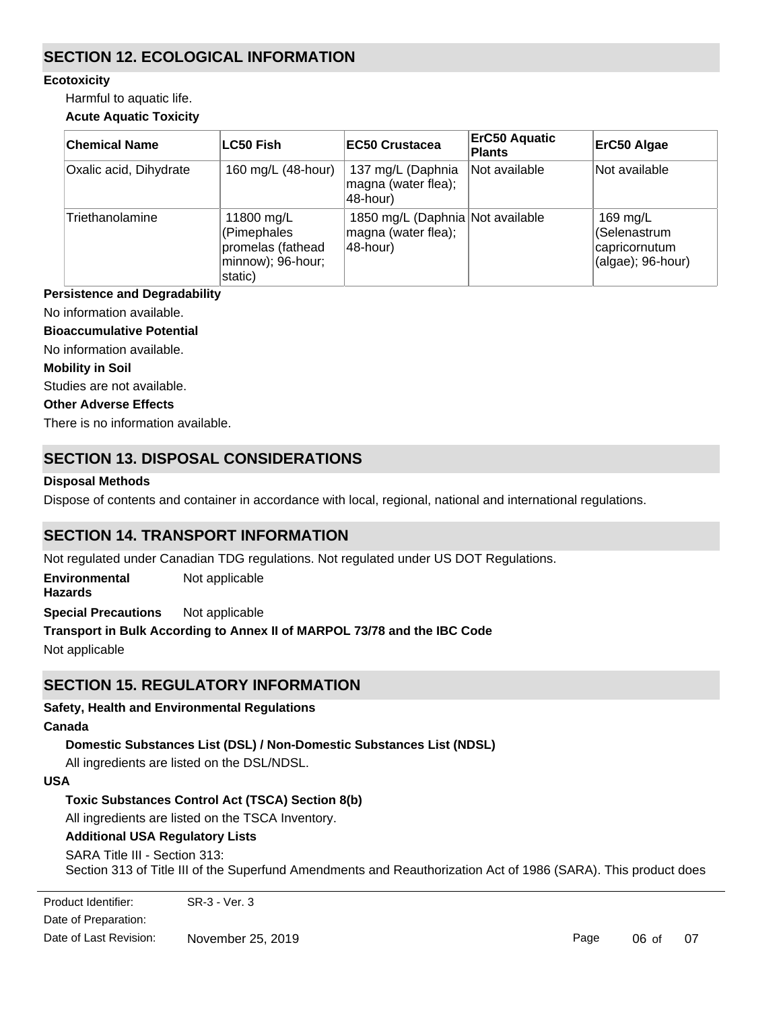# **SECTION 12. ECOLOGICAL INFORMATION**

### **Ecotoxicity**

Harmful to aquatic life.

## **Acute Aquatic Toxicity**

| <b>Chemical Name</b>   | <b>LC50 Fish</b>                                                               | <b>EC50 Crustacea</b>                                               | <b>ErC50 Aquatic</b><br><b>Plants</b> | ErC50 Algae                                                       |
|------------------------|--------------------------------------------------------------------------------|---------------------------------------------------------------------|---------------------------------------|-------------------------------------------------------------------|
| Oxalic acid, Dihydrate | 160 mg/L (48-hour)                                                             | 137 mg/L (Daphnia<br>magna (water flea);<br>48-hour)                | Not available                         | Not available                                                     |
| Triethanolamine        | 11800 mg/L<br>(Pimephales<br>promelas (fathead<br>minnow); 96-hour;<br>static) | 1850 mg/L (Daphnia Not available<br>magna (water flea);<br>48-hour) |                                       | 169 mg/L<br>(Selenastrum<br>capricornutum<br>$(algae)$ ; 96-hour) |

### **Persistence and Degradability**

No information available.

**Bioaccumulative Potential**

No information available.

#### **Mobility in Soil**

Studies are not available.

#### **Other Adverse Effects**

There is no information available.

# **SECTION 13. DISPOSAL CONSIDERATIONS**

### **Disposal Methods**

Dispose of contents and container in accordance with local, regional, national and international regulations.

# **SECTION 14. TRANSPORT INFORMATION**

Not regulated under Canadian TDG regulations. Not regulated under US DOT Regulations.

**Environmental Hazards** Not applicable

**Special Precautions** Not applicable

**Transport in Bulk According to Annex II of MARPOL 73/78 and the IBC Code**

Not applicable

# **SECTION 15. REGULATORY INFORMATION**

**Safety, Health and Environmental Regulations**

### **Canada**

**Domestic Substances List (DSL) / Non-Domestic Substances List (NDSL)**

All ingredients are listed on the DSL/NDSL.

### **USA**

**Toxic Substances Control Act (TSCA) Section 8(b)**

All ingredients are listed on the TSCA Inventory.

### **Additional USA Regulatory Lists**

### SARA Title III - Section 313:

Section 313 of Title III of the Superfund Amendments and Reauthorization Act of 1986 (SARA). This product does